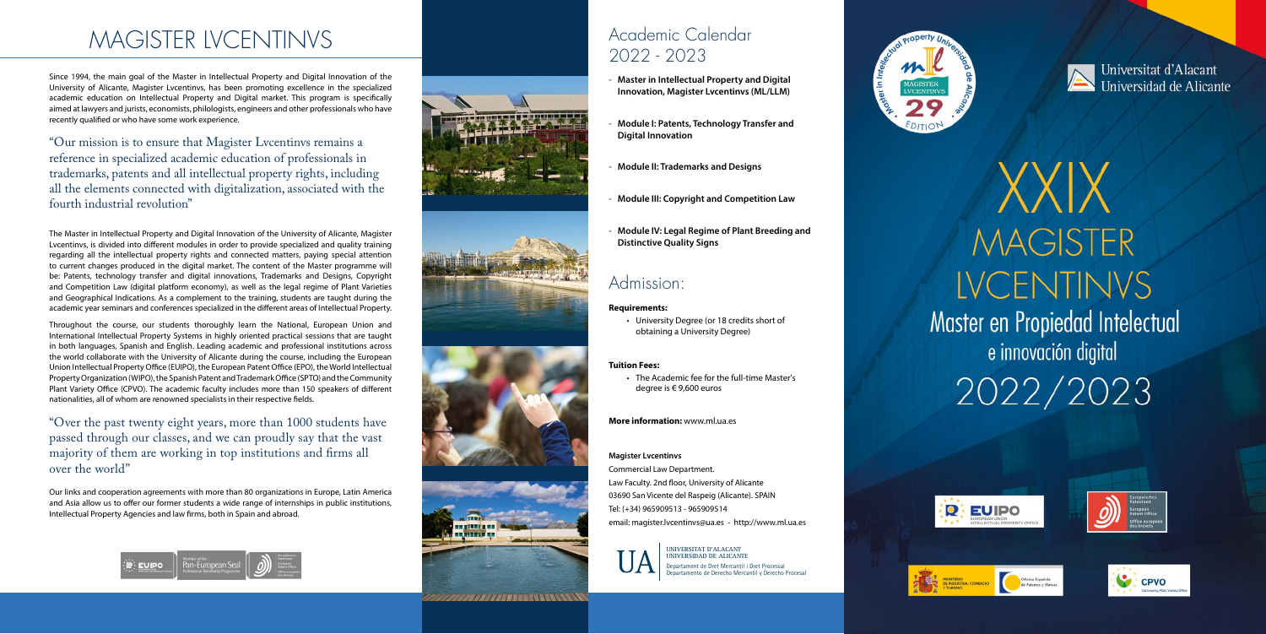# MAGISTER LVCENTINVS

Since 1994, the main goal of the Master in Intellectual Property and Digital Innovation of the University of Alicante, Magister Lvcentinvs, has been promoting excellence in the specialized academic education on Intellectual Property and Digital market. This program is specifically aimed at lawyers and jurists, economists, philologists, engineers and other professionals who have recently qualified or who have some work experience.

"Our mission is to ensure that Magister Lvcentinvs remains a reference in specialized academic education of professionals in trademarks, patents and all intellectual property rights, including all the elements connected with digitalization, associated with the fourth industrial revolution"

The Master in Intellectual Property and Digital Innovation of the University of Alicante, Magister Lvcentinvs, is divided into different modules in order to provide specialized and quality training regarding all the intellectual property rights and connected matters, paying special attention to current changes produced in the digital market. The content of the Master programme will be: Patents, technology transfer and digital innovations, Trademarks and Designs, Copyright and Competition Law (digital platform economy), as well as the legal regime of Plant Varieties and Geographical Indications. As a complement to the training, students are taught during the academic year seminars and conferences specialized in the different areas of Intellectual Property.

Throughout the course, our students thoroughly learn the National, European Union and International Intellectual Property Systems in highly oriented practical sessions that are taught in both languages, Spanish and English. Leading academic and professional institutions across the world collaborate with the University of Alicante during the course, including the European Union Intellectual Property Office (EUIPO), the European Patent Office (EPO), the World Intellectual Property Organization (WIPO), the Spanish Patent and Trademark Office (SPTO) and the Community Plant Variety Office (CPVO). The academic faculty includes more than 150 speakers of different nationalities, all of whom are renowned specialists in their respective fields.

"Over the past twenty eight years, more than 1000 students have passed through our classes, and we can proudly say that the vast majority of them are working in top institutions and firms all over the world"

Our links and cooperation agreements with more than 80 organizations in Europe, Latin America and Asia allow us to offer our former students a wide range of internships in public institutions, Intellectual Property Agencies and law firms, both in Spain and abroad.







WWW.WINDOWNTON

## Academic Calendar 2022 - 2023

- **Master in Intellectual Property and Digital Innovation, Magister Lvcentinvs (ML/LLM)**
- **Module I: Patents, Technology Transfer and Digital Innovation**
- **Module II: Trademarks and Designs**
- **Module III: Copyright and Competition Law**
- **Module IV: Legal Regime of Plant Breeding and Distinctive Quality Signs**

### Admission:

#### **Requirements:**

• University Degree (or 18 credits short of obtaining a University Degree)

### **Tuition Fees:**

• The Academic fee for the full-time Master's degree is € 9,600 euros

**More information:** www.ml.ua.es

#### **Magister Lvcentinvs**

Commercial Law Department. Law Faculty. 2nd floor, University of Alicante 03690 San Vicente del Raspeig (Alicante). SPAIN Tel: (+34) 965909513 - 965909514 email: magister.lvcentinvs@ua.es - http://www.ml.ua.es

> Departament de Dret Mercantil i Dret Processa l Departamento de Derecho Mercantil y Derecho Procesal











# XXIX **MAGISTER LVCENTINVS** Master en Propiedad Intelectual e innovación digital 2022/2023









 $\mathcal{Q}$